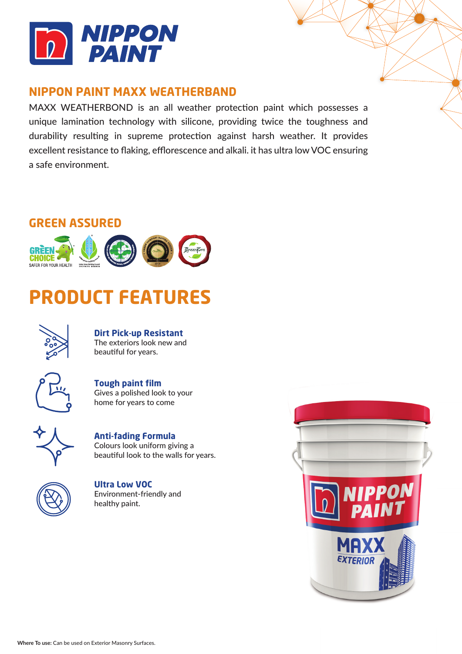

## **NIPPON PAINT MAXX WEATHERBAND**

MAXX WEATHERBOND is an all weather protection paint which possesses a unique lamination technology with silicone, providing twice the toughness and durability resulting in supreme protection against harsh weather. It provides excellent resistance to flaking, efflorescence and alkali. it has ultra low VOC ensuring a safe environment.

## **GREEN ASSURED**



# **PRODUCT FEATURES**



**Dirt Pick-up Resistant** The exteriors look new and

beautiful for years.



**Tough paint film** Gives a polished look to your home for years to come



**Anti-fading Formula** Colours look uniform giving a beautiful look to the walls for years.



**Ultra Low VOC** Environment-friendly and healthy paint.